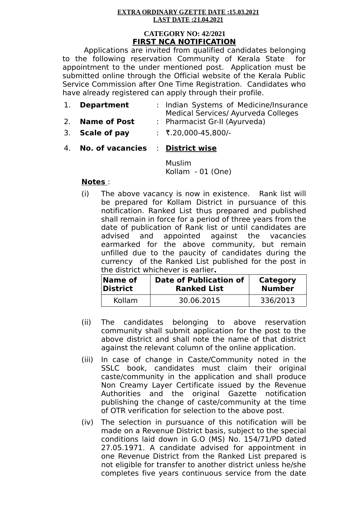#### **EXTRA ORDINARY GZETTE DATE:15.03.2021** LAST DATE: 21.04.2021

#### **CATEGORY NO: 42/2021 FIRST NCA NOTIFICATION**

Applications are invited from qualified candidates belonging to the following reservation Community of Kerala State for appointment to the under mentioned post. Application must be submitted online through the Official website of the Kerala Public Service Commission after One Time Registration. Candidates who have already registered can apply through their profile.

| 1. Department       | : Indian Systems of Medicine/Insurance |  |
|---------------------|----------------------------------------|--|
|                     | Medical Services/ Ayurveda Colleges    |  |
| <b>Name of Post</b> | : Pharmacist Gr-II (Ayurveda)          |  |

- 3. **Scale of pay** : R.20,000-45,800/-
- 4. **No. of vacancies** : **District wise**

Muslim Kollam - 01 (One)

# **Notes** :

(i) The above vacancy is now in existence. Rank list will be prepared for Kollam District in pursuance of this notification. Ranked List thus prepared and published shall remain in force for a period of three years from the date of publication of Rank list or until candidates are advised and appointed against the vacancies earmarked for the above community, but remain unfilled due to the paucity of candidates during the currency of the Ranked List published for the post in the district whichever is earlier**.**

| $\sf Name$ of | <b>Date of Publication of</b> | Category      |
|---------------|-------------------------------|---------------|
| District      | <b>Ranked List</b>            | <b>Number</b> |
| Kollam        | 30.06.2015                    | 336/2013      |

- (ii) The candidates belonging to above reservation community shall submit application for the post to the above district and shall note the name of that district against the relevant column of the online application.
- (iii) In case of change in Caste/Community noted in the SSLC book, candidates must claim their original caste/community in the application and shall produce Non Creamy Layer Certificate issued by the Revenue Authorities and the original Gazette notification publishing the change of caste/community at the time of OTR verification for selection to the above post.
- (iv) The selection in pursuance of this notification will be made on a Revenue District basis, subject to the special conditions laid down in G.O (MS) No. 154/71/PD dated 27.05.1971. A candidate advised for appointment in one Revenue District from the Ranked List prepared is not eligible for transfer to another district unless he/she completes five years continuous service from the date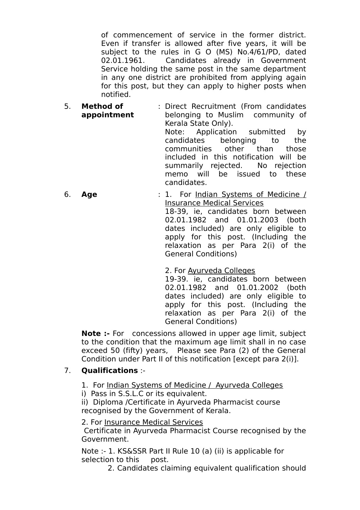of commencement of service in the former district. Even if transfer is allowed after five years, it will be subject to the rules in G O (MS) No.4/61/PD, dated 02.01.1961. Candidates already in Government Service holding the same post in the same department in any one district are prohibited from applying again for this post, but they can apply to higher posts when notified.

- 5. **Method of appointment** : Direct Recruitment (From candidates belonging to Muslim community of Kerala State Only). Note: Application submitted by candidates belonging to the communities other than those included in this notification will be summarily rejected. No rejection
- memo will be issued to these candidates. 6. **Age** : 1. For Indian Systems of Medicine / Insurance Medical Services 18-39, ie, candidates born between 02.01.1982 and 01.01.2003 (both dates included) are only eligible to apply for this post. (Including the relaxation as per Para 2(i) of the General Conditions)
	- 2. For Ayurveda Colleges

19-39. ie, candidates born between 02.01.1982 and 01.01.2002 (both dates included) are only eligible to apply for this post. (Including the relaxation as per Para 2(i) of the General Conditions)

**Note :-** For concessions allowed in upper age limit, subject to the condition that the maximum age limit shall in no case exceed 50 (fifty) years, Please see Para (2) of the General Condition under Part II of this notification [except para 2(i)].

# 7. **Qualifications** :-

- 1. For Indian Systems of Medicine / Ayurveda Colleges
- i) Pass in S.S.L.C or its equivalent.

ii) Diploma /Certificate in Ayurveda Pharmacist course recognised by the Government of Kerala.

2. For Insurance Medical Services

 Certificate in Ayurveda Pharmacist Course recognised by the Government.

Note :- 1. KS&SSR Part II Rule 10 (a) (ii) is applicable for selection to this post.

2. Candidates claiming equivalent qualification should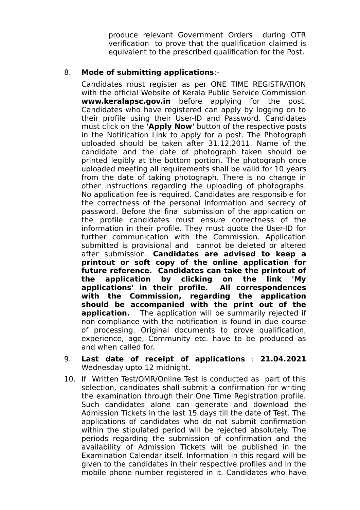produce relevant Government Orders during OTR verification to prove that the qualification claimed is equivalent to the prescribed qualification for the Post.

### 8. **Mode of submitting applications**:-

Candidates must register as per ONE TIME REGISTRATION with the official Website of Kerala Public Service Commission **www.keralapsc.gov.in** before applying for the post. Candidates who have registered can apply by logging on to their profile using their User-ID and Password. Candidates must click on the **'Apply Now'** button of the respective posts in the Notification Link to apply for a post. The Photograph uploaded should be taken after 31.12.2011. Name of the candidate and the date of photograph taken should be printed legibly at the bottom portion. The photograph once uploaded meeting all requirements shall be valid for 10 years from the date of taking photograph. There is no change in other instructions regarding the uploading of photographs. No application fee is required. Candidates are responsible for the correctness of the personal information and secrecy of password. Before the final submission of the application on the profile candidates must ensure correctness of the information in their profile. They must quote the User-ID for further communication with the Commission. Application submitted is provisional and cannot be deleted or altered after submission. **Candidates are advised to keep a printout or soft copy of the online application for future reference. Candidates can take the printout of the application by clicking on the link 'My applications' in their profile. All correspondences with the Commission, regarding the application should be accompanied with the print out of the application.** The application will be summarily rejected if non-compliance with the notification is found in due course of processing. Original documents to prove qualification, experience, age, Community etc. have to be produced as and when called for.

- 9. **Last date of receipt of applications** : **21.04.2021** Wednesday upto 12 midnight.
- 10. If Written Test/OMR/Online Test is conducted as part of this selection, candidates shall submit a confirmation for writing the examination through their One Time Registration profile. Such candidates alone can generate and download the Admission Tickets in the last 15 days till the date of Test. The applications of candidates who do not submit confirmation within the stipulated period will be rejected absolutely. The periods regarding the submission of confirmation and the availability of Admission Tickets will be published in the Examination Calendar itself. Information in this regard will be given to the candidates in their respective profiles and in the mobile phone number registered in it. Candidates who have